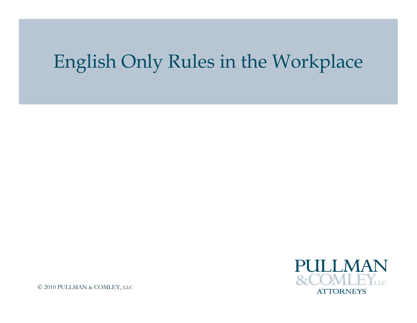## English Only Rules in the Workplace

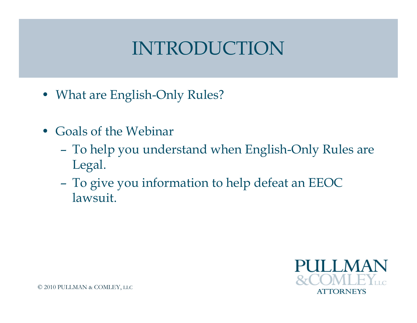### INTRODUCTION

- What are English-Only Rules?
- Goals of the Webinar
	- To help you understand when English-Only Rules are Legal.
	- To give you information to help defeat an EEOC lawsuit.

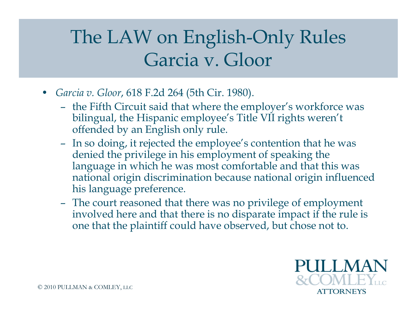# The LAW on English-Only Rules Garcia v. Gloor

- *Garcia v. Gloor*, 618 F.2d 264 (5th Cir. 1980).
	- the Fifth Circuit said that where the employer's workforce was bilingual, the Hispanic employee's Title VII rights weren't offended by an English only rule.
	- In so doing, it rejected the employee's contention that he was denied the privilege in his employment of speaking the language in which he was most comfortable and that this was national origin discrimination because national origin influenced his language preference.
	- The court reasoned that there was no privilege of employment involved here and that there is no disparate impact if the rule is one that the plaintiff could have observed, but chose not to.

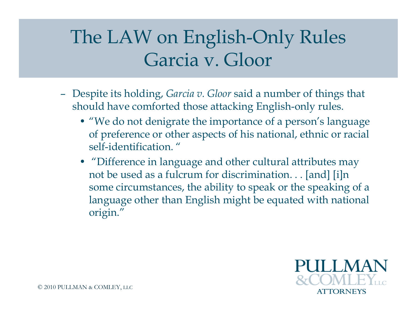## The LAW on English-Only Rules Garcia v. Gloor

- Despite its holding, *Garcia v. Gloor* said a number of things that should have comforted those attacking English-only rules.
	- "We do not denigrate the importance of a person's language of preference or other aspects of his national, ethnic or racial self-identification. "
	- "Difference in language and other cultural attributes may not be used as a fulcrum for discrimination. . . [and] [i]n some circumstances, the ability to speak or the speaking of a language other than English might be equated with national origin."

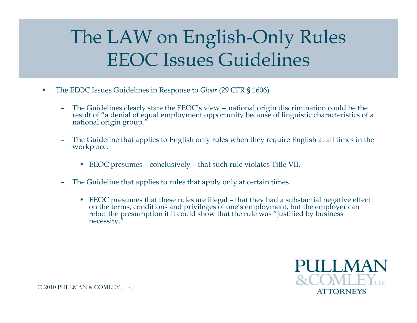# The LAW on English-Only Rules EEOC Issues Guidelines

- The EEOC Issues Guidelines in Response to *Gloor* (29 CFR § 1606)
	- The Guidelines clearly state the EEOC's view -- national origin discrimination could be the result of "a denial of equal employment opportunity because of linguistic characteristics of a national origin group."
	- The Guideline that applies to English only rules when they require English at all times in the workplace.
		- EEOC presumes conclusively that such rule violates Title VII.
	- The Guideline that applies to rules that apply only at certain times.
		- EEOC presumes that these rules are illegal that they had a substantial negative effect on the terms, conditions and privileges of one's employment, but the employer can rebut the presumption if it could show that the rule was "justified by business necessity."

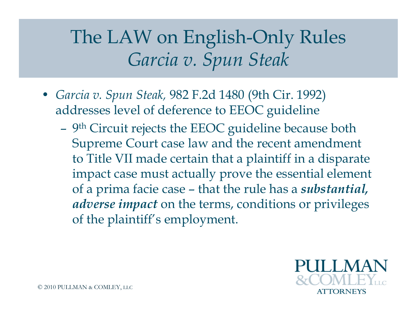- *Garcia v. Spun Steak,* 982 F.2d 1480 (9th Cir. 1992) addresses level of deference to EEOC guideline
	- 9<sup>th</sup> Circuit rejects the EEOC guideline because both Supreme Court case law and the recent amendment to Title VII made certain that a plaintiff in a disparate impact case must actually prove the essential element of a prima facie case – that the rule has a *substantial, adverse impact* on the terms, conditions or privileges of the plaintiff's employment.

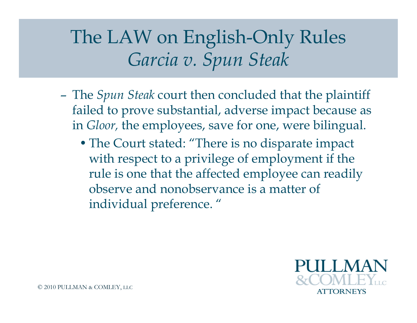- The *Spun Steak* court then concluded that the plaintiff failed to prove substantial, adverse impact because as in *Gloor,* the employees, save for one, were bilingual.
	- The Court stated: "There is no disparate impact with respect to a privilege of employment if the rule is one that the affected employee can readily observe and nonobservance is a matter of individual preference. "

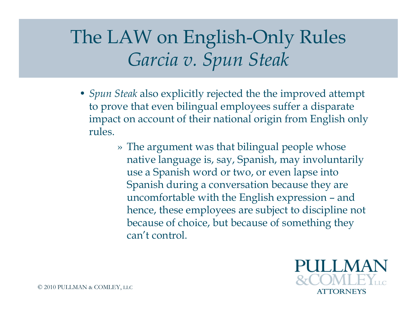- *Spun Steak* also explicitly rejected the the improved attempt to prove that even bilingual employees suffer a disparate impact on account of their national origin from English only rules.
	- » The argument was that bilingual people whose native language is, say, Spanish, may involuntarily use a Spanish word or two, or even lapse into Spanish during a conversation because they are uncomfortable with the English expression – and hence, these employees are subject to discipline not because of choice, but because of something they can't control.

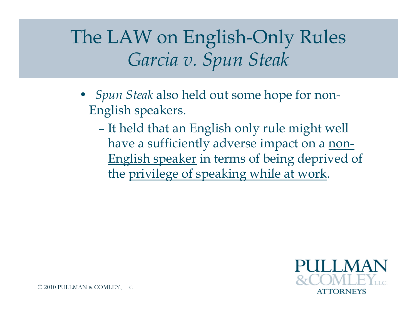- *Spun Steak* also held out some hope for non-English speakers.
	- It held that an English only rule might well have a sufficiently adverse impact on a non-English speaker in terms of being deprived of the privilege of speaking while at work.

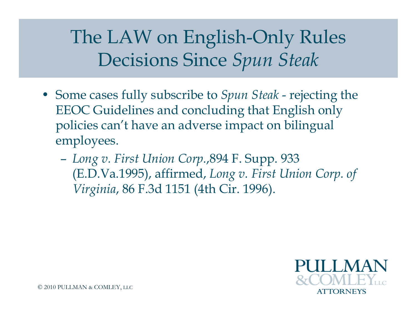- Some cases fully subscribe to *Spun Steak* rejecting the EEOC Guidelines and concluding that English only policies can't have an adverse impact on bilingual employees.
	- *Long v. First Union Corp.*,894 F. Supp. 933 (E.D.Va.1995), affirmed, *Long v. First Union Corp. of Virginia*, 86 F.3d 1151 (4th Cir. 1996).

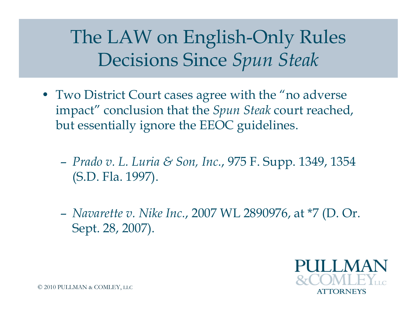- Two District Court cases agree with the "no adverse" impact" conclusion that the *Spun Steak* court reached, but essentially ignore the EEOC guidelines.
	- *Prado v. L. Luria & Son, Inc.*, 975 F. Supp. 1349, 1354 (S.D. Fla. 1997).
	- *Navarette v. Nike Inc.*, 2007 WL 2890976, at \*7 (D. Or. Sept. 28, 2007).

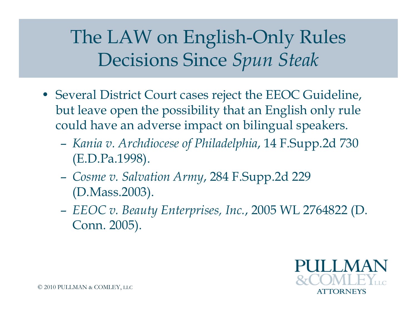- Several District Court cases reject the EEOC Guideline, but leave open the possibility that an English only rule could have an adverse impact on bilingual speakers.
	- *Kania v. Archdiocese of Philadelphia*, 14 F.Supp.2d 730 (E.D.Pa.1998).
	- *Cosme v. Salvation Army*, 284 F.Supp.2d 229 (D.Mass.2003).
	- *EEOC v. Beauty Enterprises, Inc.*, 2005 WL 2764822 (D. Conn. 2005).

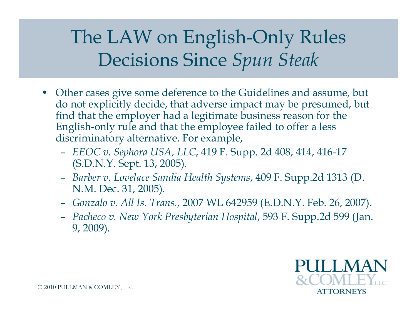- Other cases give some deference to the Guidelines and assume, but do not explicitly decide, that adverse impact may be presumed, but find that the employer had a legitimate business reason for the English-only rule and that the employee failed to offer a less discriminatory alternative. For example,
	- *EEOC v. Sephora USA, LLC*, 419 F. Supp. 2d 408, 414, 416-17 (S.D.N.Y. Sept. 13, 2005).
	- *Barber v. Lovelace Sandia Health Systems*, 409 F. Supp.2d 1313 (D. N.M. Dec. 31, 2005).
	- *Gonzalo v. All Is. Trans.*, 2007 WL 642959 (E.D.N.Y. Feb. 26, 2007).
	- *Pacheco v. New York Presbyterian Hospital*, 593 F. Supp.2d 599 (Jan. 9, 2009).

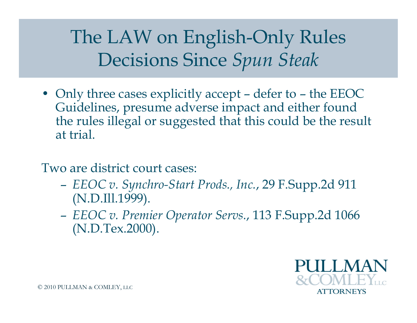• Only three cases explicitly accept – defer to – the EEOC Guidelines, presume adverse impact and either found the rules illegal or suggested that this could be the result at trial.

Two are district court cases:

- *EEOC v. Synchro-Start Prods., Inc.*, 29 F.Supp.2d 911 (N.D.Ill.1999).
- *EEOC v. Premier Operator Servs.*, 113 F.Supp.2d 1066 (N.D.Tex.2000).

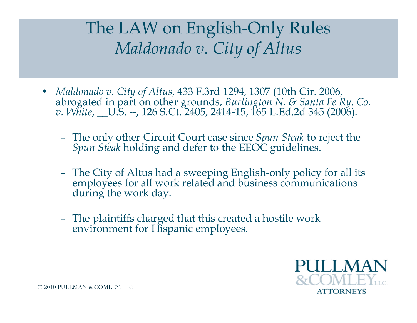#### The LAW on English-Only Rules *Maldonado v. City of Altus*

- *Maldonado v. City of Altus,* 433 F.3rd 1294, 1307 (10th Cir. 2006, abrogated in part on other grounds, *Burlington N. & Santa Fe Ry. Co. v. White*, \_\_U.S. --, 126 S.Ct. 2405, 2414-15, 165 L.Ed.2d 345 (2006).
	- The only other Circuit Court case since *Spun Steak* to reject the *Spun Steak* holding and defer to the EEOC guidelines.
	- The City of Altus had a sweeping English-only policy for all its employees for all work related and business communications during the work day.
	- The plaintiffs charged that this created a hostile work environment for Hispanic employees.

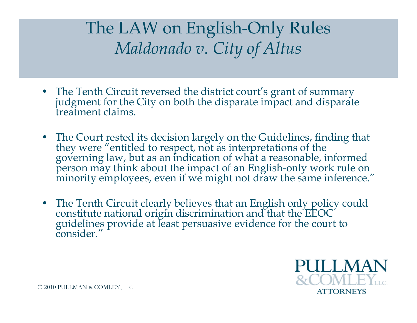#### The LAW on English-Only Rules *Maldonado v. City of Altus*

- The Tenth Circuit reversed the district court's grant of summary judgment for the City on both the disparate impact and disparate treatment claims.
- The Court rested its decision largely on the Guidelines, finding that they were "entitled to respect, not as interpretations of the governing law, but as an indication of what a reasonable, informed person may think about the impact of an English-only work rule on minority employees, even if we might not draw the same inference."
- The Tenth Circuit clearly believes that an English only policy could constitute national origin discrimination and that the EEOC guidelines provide at least persuasive evidence for the court to consider."

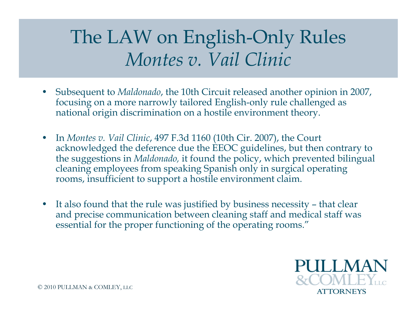## The LAW on English-Only Rules *Montes v. Vail Clinic*

- Subsequent to *Maldonado*, the 10th Circuit released another opinion in 2007, focusing on a more narrowly tailored English-only rule challenged as national origin discrimination on a hostile environment theory.
- In *Montes v. Vail Clinic*, 497 F.3d 1160 (10th Cir. 2007), the Court acknowledged the deference due the EEOC guidelines, but then contrary to the suggestions in *Maldonado,* it found the policy, which prevented bilingual cleaning employees from speaking Spanish only in surgical operating rooms, insufficient to support a hostile environment claim.
- It also found that the rule was justified by business necessity that clear and precise communication between cleaning staff and medical staff was essential for the proper functioning of the operating rooms."

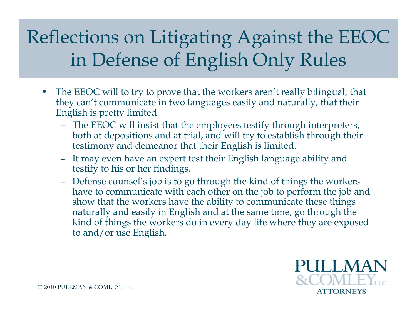- The EEOC will to try to prove that the workers aren't really bilingual, that they can't communicate in two languages easily and naturally, that their English is pretty limited.
	- The EEOC will insist that the employees testify through interpreters, both at depositions and at trial, and will try to establish through their testimony and demeanor that their English is limited.
	- It may even have an expert test their English language ability and testify to his or her findings.
	- Defense counsel's job is to go through the kind of things the workers have to communicate with each other on the job to perform the job and show that the workers have the ability to communicate these things naturally and easily in English and at the same time, go through the kind of things the workers do in every day life where they are exposed to and/or use English.

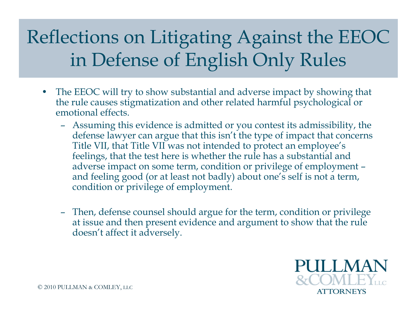- The EEOC will try to show substantial and adverse impact by showing that the rule causes stigmatization and other related harmful psychological or emotional effects.
	- Assuming this evidence is admitted or you contest its admissibility, the defense lawyer can argue that this isn't the type of impact that concerns Title VII, that Title VII was not intended to protect an employee's feelings, that the test here is whether the rule has a substantial and adverse impact on some term, condition or privilege of employment – and feeling good (or at least not badly) about one's self is not a term, condition or privilege of employment.
	- Then, defense counsel should argue for the term, condition or privilege at issue and then present evidence and argument to show that the rule doesn't affect it adversely.

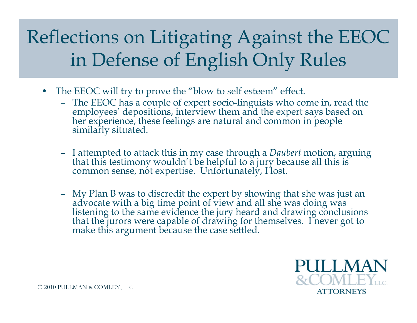- The EEOC will try to prove the "blow to self esteem" effect.
	- The EEOC has a couple of expert socio-linguists who come in, read the employees' depositions, interview them and the expert says based on her experience, these feelings are natural and common in people similarly situated.
	- I attempted to attack this in my case through a *Daubert* motion, arguing that this testimony wouldn't be helpful to a jury because all this is common sense, not expertise. Unfortunately, I lost.
	- My Plan B was to discredit the expert by showing that she was just an advocate with a big time point of view and all she was doing was listening to the same evidence the jury heard and drawing conclusions that the jurors were capable of drawing for themselves. I never got to make this argument because the case settled.

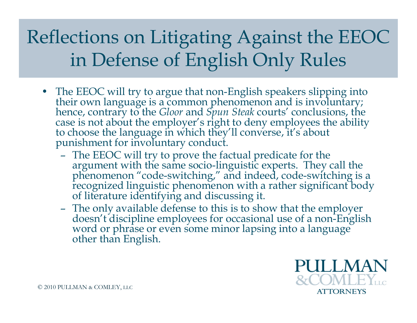- The EEOC will try to argue that non-English speakers slipping into their own language is a common phenomenon and is involuntary; hence, contrary to the *Gloor* and *Spun Steak* courts' conclusions, the case is not about the employer's right to deny employees the ability to choose the language in which they'll converse, it's about punishment for involuntary conduct.
	- The EEOC will try to prove the factual predicate for the argument with the same socio-linguistic experts. They call the phenomenon "code-switching," and indeed, code-switching is a recognized linguistic phenomenon with a rather significant body of literature identifying and discussing it.
	- The only available defense to this is to show that the employer doesn't discipline employees for occasional use of a non-English word or phrase or even some minor lapsing into a language other than English.

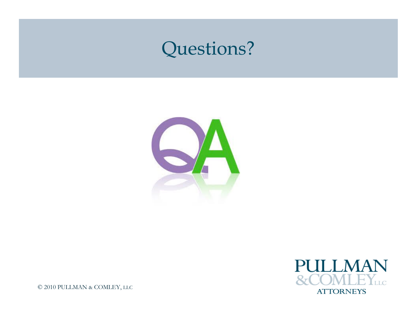#### Questions?